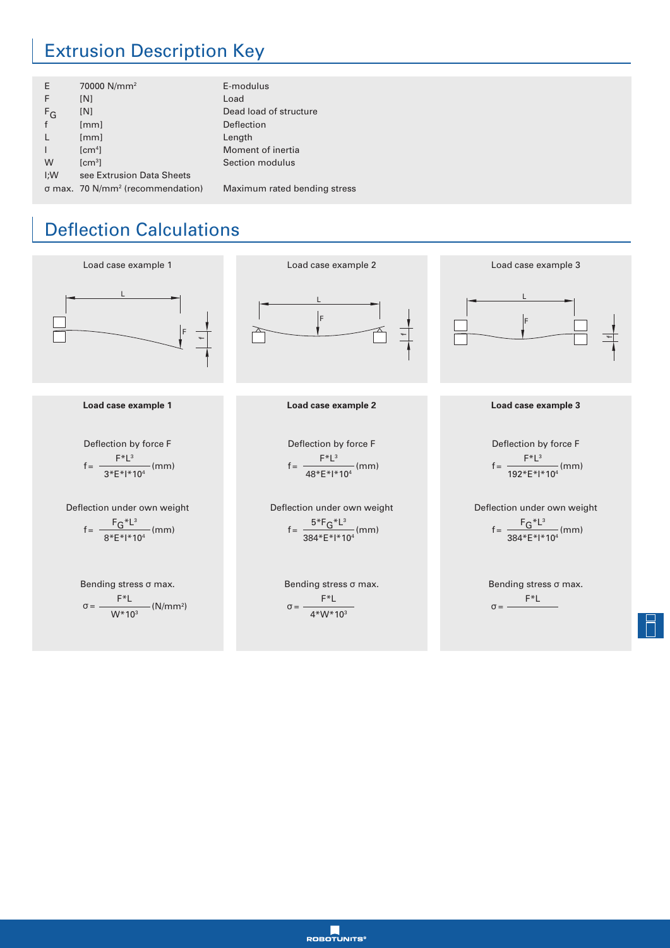## Extrusion Description Key

| E     | 70000 N/mm <sup>2</sup>                      | E-modulus                    |
|-------|----------------------------------------------|------------------------------|
| F     | [N]                                          | Load                         |
| $F_G$ | [N]                                          | Dead load of structure       |
|       | [mm]                                         | Deflection                   |
|       | [mm]                                         | Length                       |
|       | [cm <sup>4</sup> ]                           | Moment of inertia            |
| W     | [cm <sup>3</sup> ]                           | Section modulus              |
| I:W   | see Extrusion Data Sheets                    |                              |
|       | σ max. 70 N/mm <sup>2</sup> (recommendation) | Maximum rated bending stress |

## Deflection Calculations